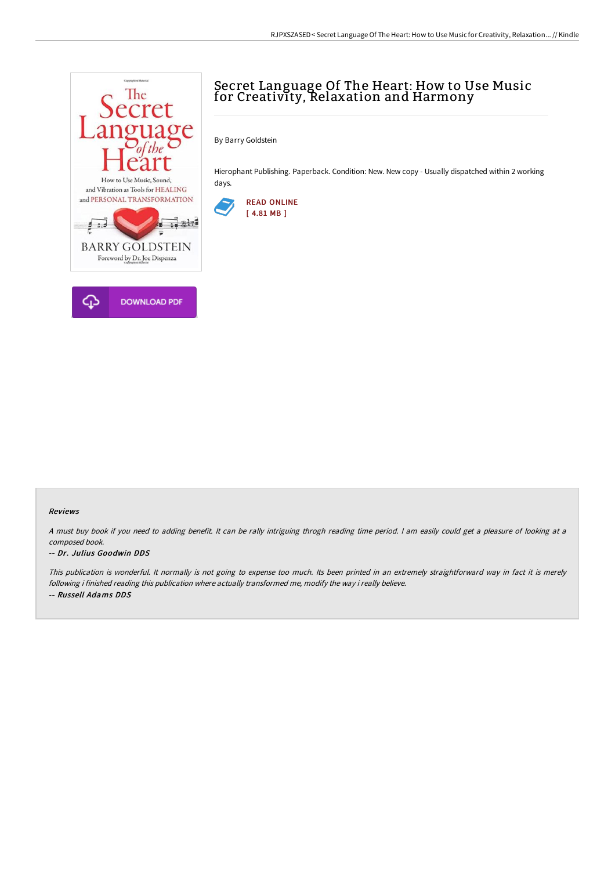

# Secret Language Of The Heart: How to Use Music for Creativity, Relaxation and Harmony

By Barry Goldstein

Hierophant Publishing. Paperback. Condition: New. New copy - Usually dispatched within 2 working days.



#### Reviews

<sup>A</sup> must buy book if you need to adding benefit. It can be rally intriguing throgh reading time period. <sup>I</sup> am easily could get <sup>a</sup> pleasure of looking at <sup>a</sup> composed book.

#### -- Dr. Julius Goodwin DDS

This publication is wonderful. It normally is not going to expense too much. Its been printed in an extremely straightforward way in fact it is merely following i finished reading this publication where actually transformed me, modify the way i really believe. -- Russell Adams DDS